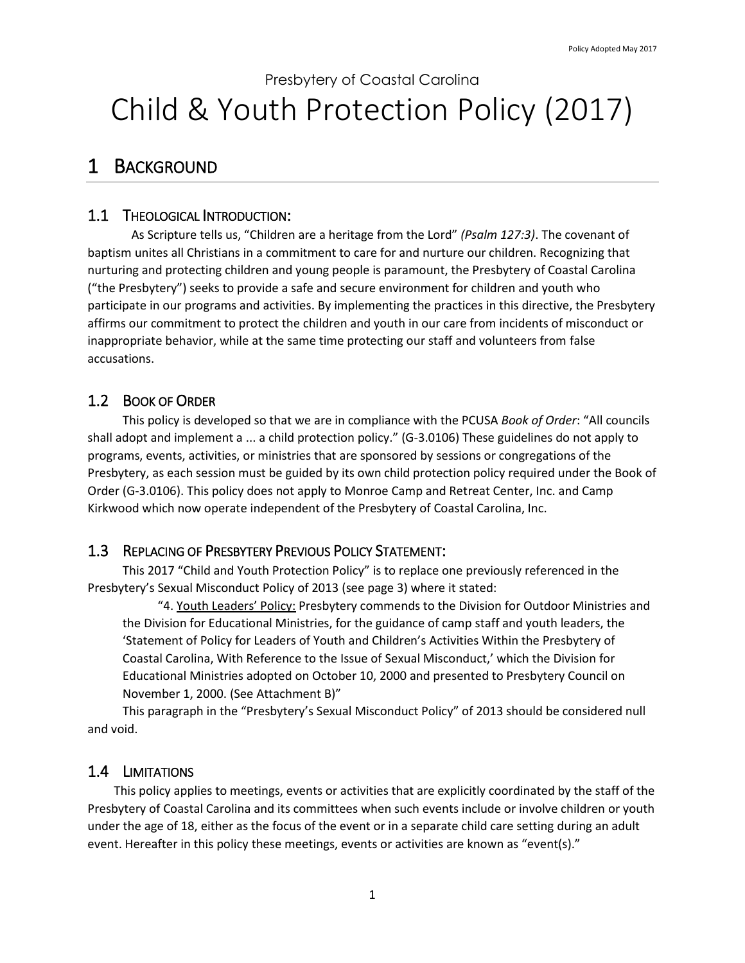# Presbytery of Coastal Carolina Child & Youth Protection Policy (2017)

# 1 BACKGROUND

### 1.1 THEOLOGICAL INTRODUCTION:

As Scripture tells us, "Children are a heritage from the Lord" *(Psalm 127:3)*. The covenant of baptism unites all Christians in a commitment to care for and nurture our children. Recognizing that nurturing and protecting children and young people is paramount, the Presbytery of Coastal Carolina ("the Presbytery") seeks to provide a safe and secure environment for children and youth who participate in our programs and activities. By implementing the practices in this directive, the Presbytery affirms our commitment to protect the children and youth in our care from incidents of misconduct or inappropriate behavior, while at the same time protecting our staff and volunteers from false accusations.

### 1.2 BOOK OF ORDER

This policy is developed so that we are in compliance with the PCUSA *Book of Order*: "All councils shall adopt and implement a ... a child protection policy." (G-3.0106) These guidelines do not apply to programs, events, activities, or ministries that are sponsored by sessions or congregations of the Presbytery, as each session must be guided by its own child protection policy required under the Book of Order (G-3.0106). This policy does not apply to Monroe Camp and Retreat Center, Inc. and Camp Kirkwood which now operate independent of the Presbytery of Coastal Carolina, Inc.

### 1.3 REPLACING OF PRESBYTERY PREVIOUS POLICY STATEMENT:

This 2017 "Child and Youth Protection Policy" is to replace one previously referenced in the Presbytery's Sexual Misconduct Policy of 2013 (see page 3) where it stated:

"4. Youth Leaders' Policy: Presbytery commends to the Division for Outdoor Ministries and the Division for Educational Ministries, for the guidance of camp staff and youth leaders, the 'Statement of Policy for Leaders of Youth and Children's Activities Within the Presbytery of Coastal Carolina, With Reference to the Issue of Sexual Misconduct,' which the Division for Educational Ministries adopted on October 10, 2000 and presented to Presbytery Council on November 1, 2000. (See Attachment B)"

This paragraph in the "Presbytery's Sexual Misconduct Policy" of 2013 should be considered null and void.

### 1.4 LIMITATIONS

This policy applies to meetings, events or activities that are explicitly coordinated by the staff of the Presbytery of Coastal Carolina and its committees when such events include or involve children or youth under the age of 18, either as the focus of the event or in a separate child care setting during an adult event. Hereafter in this policy these meetings, events or activities are known as "event(s)."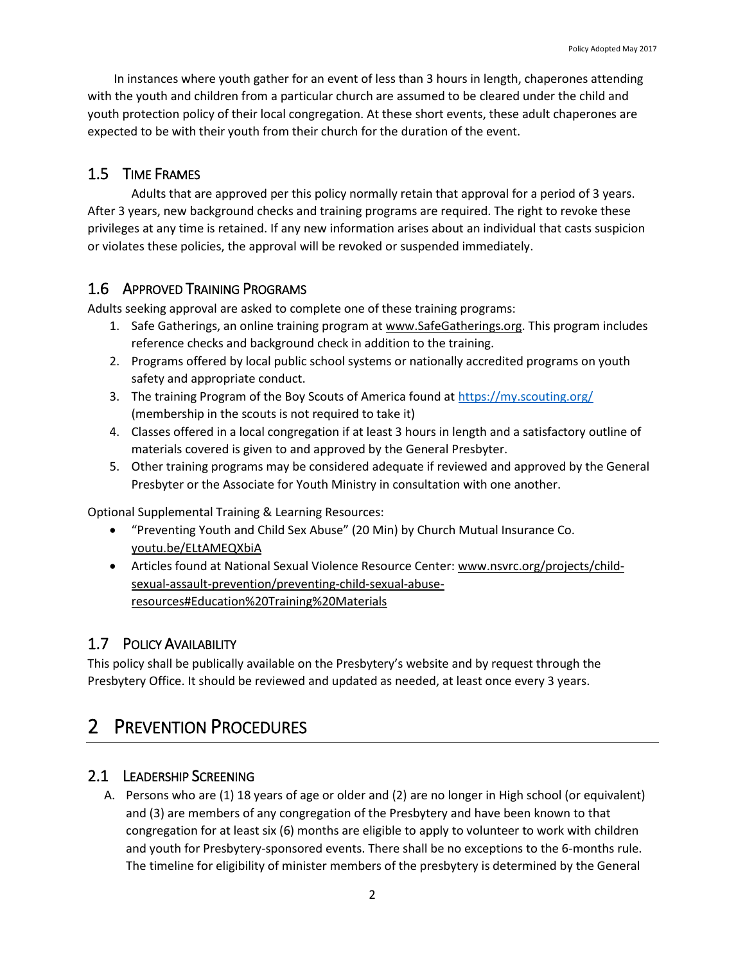In instances where youth gather for an event of less than 3 hours in length, chaperones attending with the youth and children from a particular church are assumed to be cleared under the child and youth protection policy of their local congregation. At these short events, these adult chaperones are expected to be with their youth from their church for the duration of the event.

### 1.5 TIME FRAMES

Adults that are approved per this policy normally retain that approval for a period of 3 years. After 3 years, new background checks and training programs are required. The right to revoke these privileges at any time is retained. If any new information arises about an individual that casts suspicion or violates these policies, the approval will be revoked or suspended immediately.

### 1.6 APPROVED TRAINING PROGRAMS

Adults seeking approval are asked to complete one of these training programs:

- 1. Safe Gatherings, an online training program at [www.SafeGatherings.org.](http://www.safegatherings.org/) This program includes reference checks and background check in addition to the training.
- 2. Programs offered by local public school systems or nationally accredited programs on youth safety and appropriate conduct.
- 3. The training Program of the Boy Scouts of America found a[t https://my.scouting.org/](https://my.scouting.org/) (membership in the scouts is not required to take it)
- 4. Classes offered in a local congregation if at least 3 hours in length and a satisfactory outline of materials covered is given to and approved by the General Presbyter.
- 5. Other training programs may be considered adequate if reviewed and approved by the General Presbyter or the Associate for Youth Ministry in consultation with one another.

Optional Supplemental Training & Learning Resources:

- "Preventing Youth and Child Sex Abuse" (20 Min) by Church Mutual Insurance Co. [youtu.be/ELtAMEQXbiA](https://youtu.be/ELtAMEQXbiA)
- Articles found at National Sexual Violence Resource Center: [www.nsvrc.org/projects/child](http://www.nsvrc.org/projects/child-sexual-assault-prevention/preventing-child-sexual-abuse-resources#Education%20Training%20Materials)[sexual-assault-prevention/preventing-child-sexual-abuse](http://www.nsvrc.org/projects/child-sexual-assault-prevention/preventing-child-sexual-abuse-resources#Education%20Training%20Materials)[resources#Education%20Training%20Materials](http://www.nsvrc.org/projects/child-sexual-assault-prevention/preventing-child-sexual-abuse-resources#Education%20Training%20Materials)

### 1.7 POLICY AVAILABILITY

This policy shall be publically available on the Presbytery's website and by request through the Presbytery Office. It should be reviewed and updated as needed, at least once every 3 years.

# 2 **PREVENTION PROCEDURES**

### 2.1 LEADERSHIP SCREENING

A. Persons who are (1) 18 years of age or older and (2) are no longer in High school (or equivalent) and (3) are members of any congregation of the Presbytery and have been known to that congregation for at least six (6) months are eligible to apply to volunteer to work with children and youth for Presbytery-sponsored events. There shall be no exceptions to the 6-months rule. The timeline for eligibility of minister members of the presbytery is determined by the General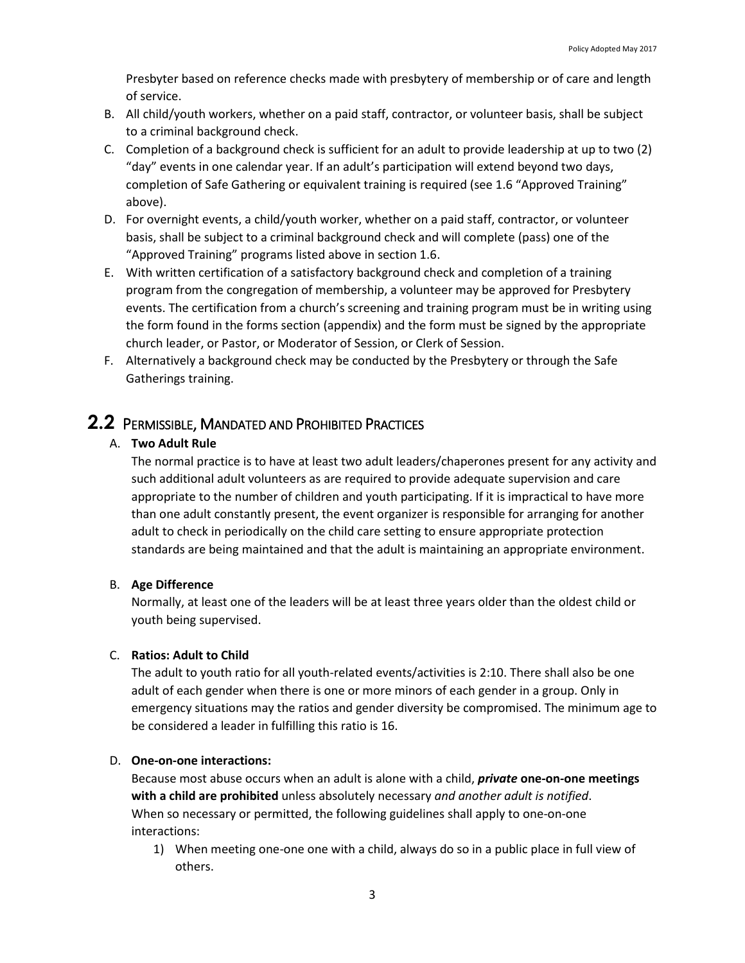Presbyter based on reference checks made with presbytery of membership or of care and length of service.

- B. All child/youth workers, whether on a paid staff, contractor, or volunteer basis, shall be subject to a criminal background check.
- C. Completion of a background check is sufficient for an adult to provide leadership at up to two (2) "day" events in one calendar year. If an adult's participation will extend beyond two days, completion of Safe Gathering or equivalent training is required (see 1.6 "Approved Training" above).
- D. For overnight events, a child/youth worker, whether on a paid staff, contractor, or volunteer basis, shall be subject to a criminal background check and will complete (pass) one of the "Approved Training" programs listed above in section 1.6.
- E. With written certification of a satisfactory background check and completion of a training program from the congregation of membership, a volunteer may be approved for Presbytery events. The certification from a church's screening and training program must be in writing using the form found in the forms section (appendix) and the form must be signed by the appropriate church leader, or Pastor, or Moderator of Session, or Clerk of Session.
- F. Alternatively a background check may be conducted by the Presbytery or through the Safe Gatherings training.

### **2.2** PERMISSIBLE, MANDATED AND PROHIBITED PRACTICES

#### A. **Two Adult Rule**

The normal practice is to have at least two adult leaders/chaperones present for any activity and such additional adult volunteers as are required to provide adequate supervision and care appropriate to the number of children and youth participating. If it is impractical to have more than one adult constantly present, the event organizer is responsible for arranging for another adult to check in periodically on the child care setting to ensure appropriate protection standards are being maintained and that the adult is maintaining an appropriate environment.

#### B. **Age Difference**

Normally, at least one of the leaders will be at least three years older than the oldest child or youth being supervised.

#### C. **Ratios: Adult to Child**

The adult to youth ratio for all youth-related events/activities is 2:10. There shall also be one adult of each gender when there is one or more minors of each gender in a group. Only in emergency situations may the ratios and gender diversity be compromised. The minimum age to be considered a leader in fulfilling this ratio is 16.

#### D. **One-on-one interactions:**

Because most abuse occurs when an adult is alone with a child, *private* **one-on-one meetings with a child are prohibited** unless absolutely necessary *and another adult is notified*. When so necessary or permitted, the following guidelines shall apply to one-on-one interactions:

1) When meeting one-one one with a child, always do so in a public place in full view of others.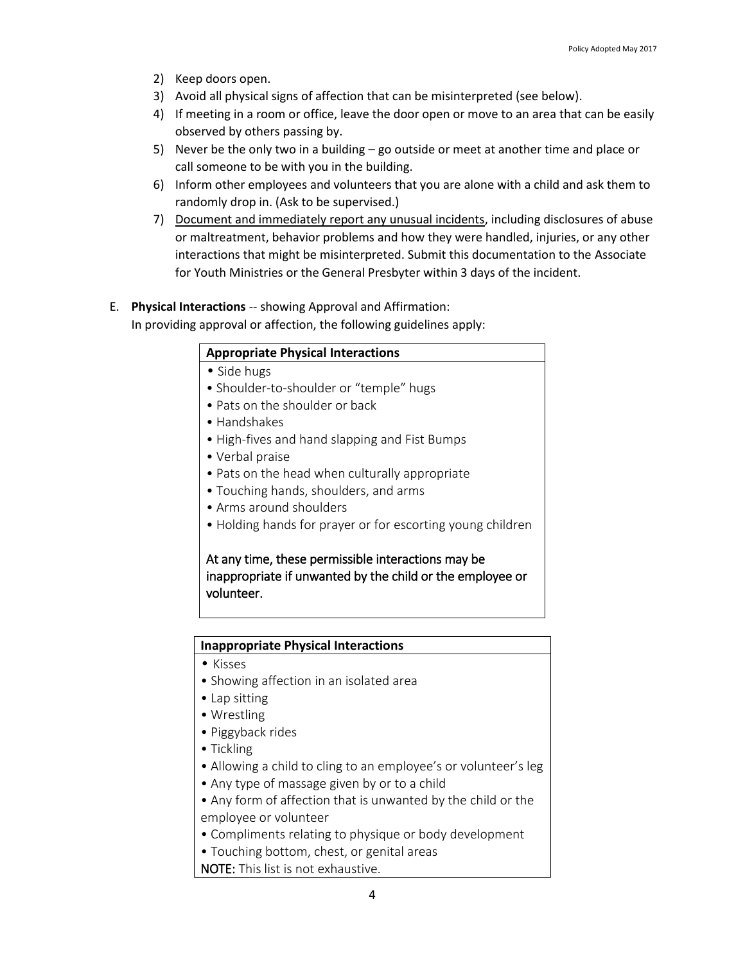- 2) Keep doors open.
- 3) Avoid all physical signs of affection that can be misinterpreted (see below).
- 4) If meeting in a room or office, leave the door open or move to an area that can be easily observed by others passing by.
- 5) Never be the only two in a building go outside or meet at another time and place or call someone to be with you in the building.
- 6) Inform other employees and volunteers that you are alone with a child and ask them to randomly drop in. (Ask to be supervised.)
- 7) Document and immediately report any unusual incidents, including disclosures of abuse or maltreatment, behavior problems and how they were handled, injuries, or any other interactions that might be misinterpreted. Submit this documentation to the Associate for Youth Ministries or the General Presbyter within 3 days of the incident.

#### E. **Physical Interactions** -- showing Approval and Affirmation:

In providing approval or affection, the following guidelines apply:

#### **Appropriate Physical Interactions**

- Side hugs
- Shoulder-to-shoulder or "temple" hugs
- Pats on the shoulder or back
- Handshakes
- High-fives and hand slapping and Fist Bumps
- Verbal praise
- Pats on the head when culturally appropriate
- Touching hands, shoulders, and arms
- Arms around shoulders
- Holding hands for prayer or for escorting young children

At any time, these permissible interactions may be inappropriate if unwanted by the child or the employee or volunteer.

#### **Inappropriate Physical Interactions**

- Kisses
- Showing affection in an isolated area
- Lap sitting
- Wrestling
- Piggyback rides
- Tickling
- Allowing a child to cling to an employee's or volunteer's leg
- Any type of massage given by or to a child
- Any form of affection that is unwanted by the child or the employee or volunteer
- Compliments relating to physique or body development
- Touching bottom, chest, or genital areas
- NOTE: This list is not exhaustive.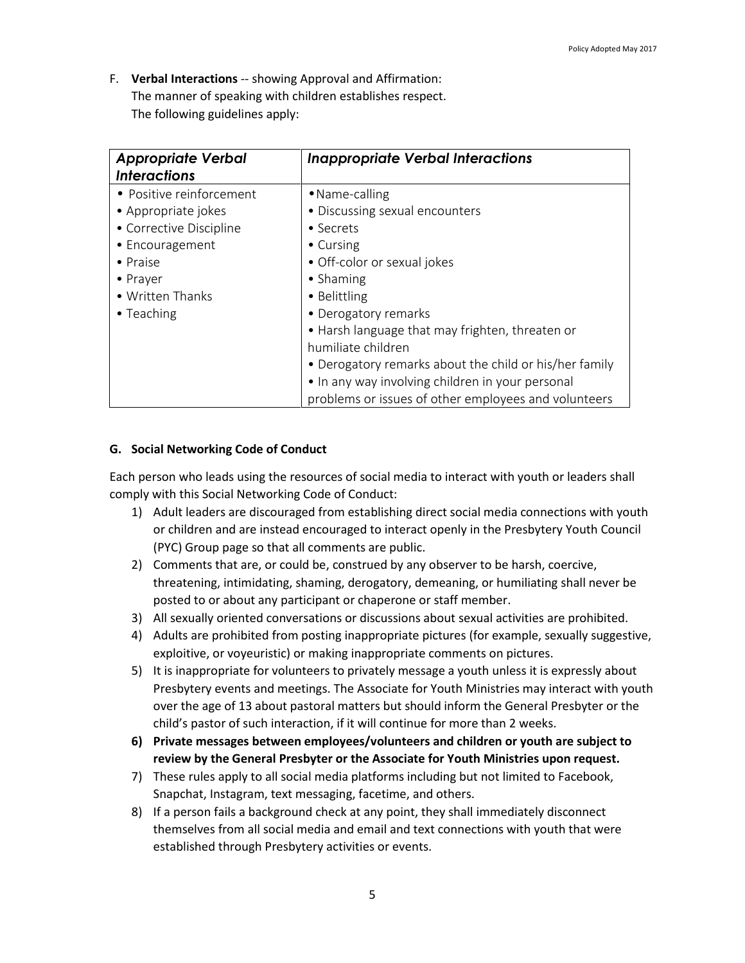F. **Verbal Interactions** -- showing Approval and Affirmation: The manner of speaking with children establishes respect. The following guidelines apply:

| <b>Appropriate Verbal</b><br><b>Interactions</b> | <b>Inappropriate Verbal Interactions</b>               |
|--------------------------------------------------|--------------------------------------------------------|
| • Positive reinforcement                         | • Name-calling                                         |
| • Appropriate jokes                              | • Discussing sexual encounters                         |
| • Corrective Discipline                          | • Secrets                                              |
| • Encouragement                                  | • Cursing                                              |
| $\bullet$ Praise                                 | • Off-color or sexual jokes                            |
| • Prayer                                         | • Shaming                                              |
| • Written Thanks                                 | • Belittling                                           |
| • Teaching                                       | • Derogatory remarks                                   |
|                                                  | • Harsh language that may frighten, threaten or        |
|                                                  | humiliate children                                     |
|                                                  | • Derogatory remarks about the child or his/her family |
|                                                  | • In any way involving children in your personal       |
|                                                  | problems or issues of other employees and volunteers   |

#### **G. Social Networking Code of Conduct**

Each person who leads using the resources of social media to interact with youth or leaders shall comply with this Social Networking Code of Conduct:

- 1) Adult leaders are discouraged from establishing direct social media connections with youth or children and are instead encouraged to interact openly in the Presbytery Youth Council (PYC) Group page so that all comments are public.
- 2) Comments that are, or could be, construed by any observer to be harsh, coercive, threatening, intimidating, shaming, derogatory, demeaning, or humiliating shall never be posted to or about any participant or chaperone or staff member.
- 3) All sexually oriented conversations or discussions about sexual activities are prohibited.
- 4) Adults are prohibited from posting inappropriate pictures (for example, sexually suggestive, exploitive, or voyeuristic) or making inappropriate comments on pictures.
- 5) It is inappropriate for volunteers to privately message a youth unless it is expressly about Presbytery events and meetings. The Associate for Youth Ministries may interact with youth over the age of 13 about pastoral matters but should inform the General Presbyter or the child's pastor of such interaction, if it will continue for more than 2 weeks.
- **6) Private messages between employees/volunteers and children or youth are subject to review by the General Presbyter or the Associate for Youth Ministries upon request.**
- 7) These rules apply to all social media platforms including but not limited to Facebook, Snapchat, Instagram, text messaging, facetime, and others.
- 8) If a person fails a background check at any point, they shall immediately disconnect themselves from all social media and email and text connections with youth that were established through Presbytery activities or events.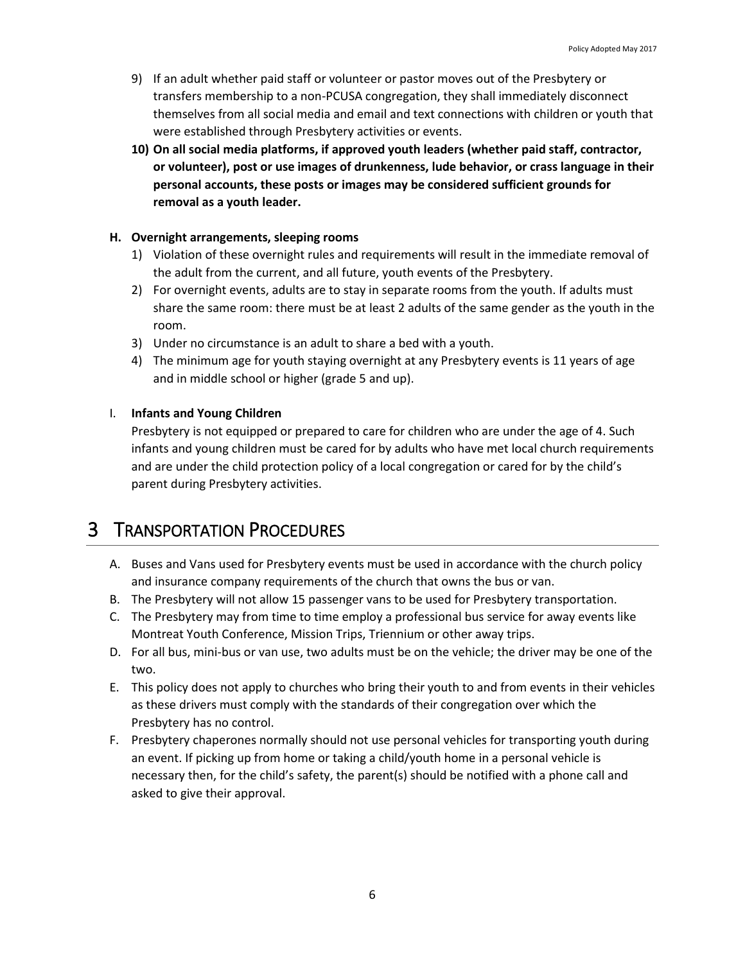- 9) If an adult whether paid staff or volunteer or pastor moves out of the Presbytery or transfers membership to a non-PCUSA congregation, they shall immediately disconnect themselves from all social media and email and text connections with children or youth that were established through Presbytery activities or events.
- **10) On all social media platforms, if approved youth leaders (whether paid staff, contractor, or volunteer), post or use images of drunkenness, lude behavior, or crass language in their personal accounts, these posts or images may be considered sufficient grounds for removal as a youth leader.**

#### **H. Overnight arrangements, sleeping rooms**

- 1) Violation of these overnight rules and requirements will result in the immediate removal of the adult from the current, and all future, youth events of the Presbytery.
- 2) For overnight events, adults are to stay in separate rooms from the youth. If adults must share the same room: there must be at least 2 adults of the same gender as the youth in the room.
- 3) Under no circumstance is an adult to share a bed with a youth.
- 4) The minimum age for youth staying overnight at any Presbytery events is 11 years of age and in middle school or higher (grade 5 and up).

#### I. **Infants and Young Children**

Presbytery is not equipped or prepared to care for children who are under the age of 4. Such infants and young children must be cared for by adults who have met local church requirements and are under the child protection policy of a local congregation or cared for by the child's parent during Presbytery activities.

### 3 TRANSPORTATION PROCEDURES

- A. Buses and Vans used for Presbytery events must be used in accordance with the church policy and insurance company requirements of the church that owns the bus or van.
- B. The Presbytery will not allow 15 passenger vans to be used for Presbytery transportation.
- C. The Presbytery may from time to time employ a professional bus service for away events like Montreat Youth Conference, Mission Trips, Triennium or other away trips.
- D. For all bus, mini-bus or van use, two adults must be on the vehicle; the driver may be one of the two.
- E. This policy does not apply to churches who bring their youth to and from events in their vehicles as these drivers must comply with the standards of their congregation over which the Presbytery has no control.
- F. Presbytery chaperones normally should not use personal vehicles for transporting youth during an event. If picking up from home or taking a child/youth home in a personal vehicle is necessary then, for the child's safety, the parent(s) should be notified with a phone call and asked to give their approval.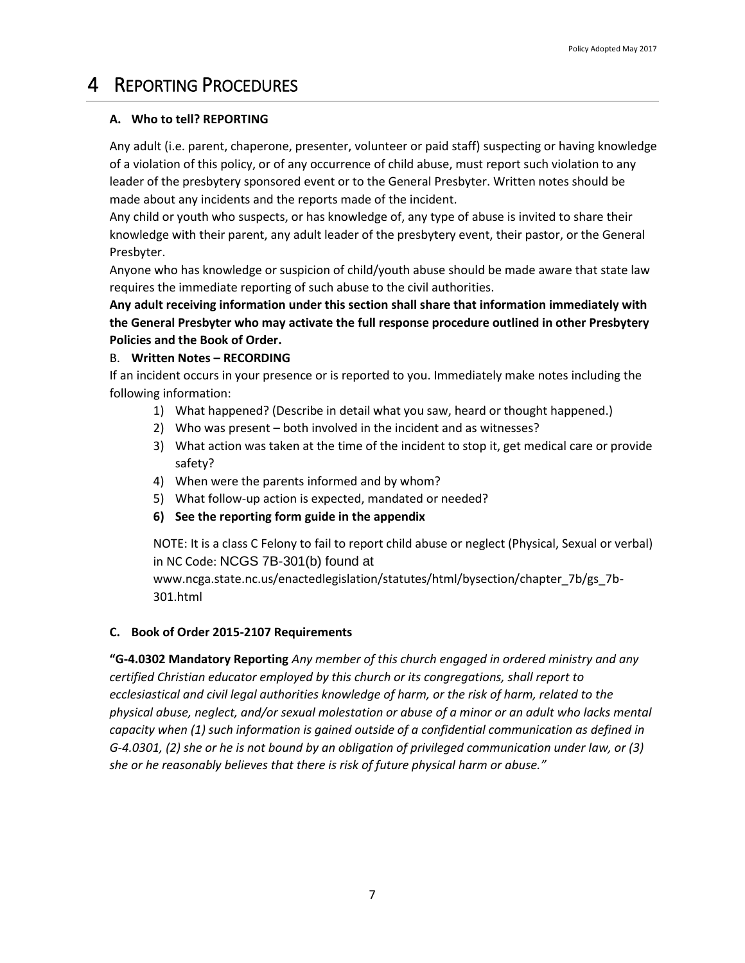# 4 REPORTING PROCEDURES

#### **A. Who to tell? REPORTING**

Any adult (i.e. parent, chaperone, presenter, volunteer or paid staff) suspecting or having knowledge of a violation of this policy, or of any occurrence of child abuse, must report such violation to any leader of the presbytery sponsored event or to the General Presbyter. Written notes should be made about any incidents and the reports made of the incident.

Any child or youth who suspects, or has knowledge of, any type of abuse is invited to share their knowledge with their parent, any adult leader of the presbytery event, their pastor, or the General Presbyter.

Anyone who has knowledge or suspicion of child/youth abuse should be made aware that state law requires the immediate reporting of such abuse to the civil authorities.

**Any adult receiving information under this section shall share that information immediately with the General Presbyter who may activate the full response procedure outlined in other Presbytery Policies and the Book of Order.**

#### B. **Written Notes – RECORDING**

If an incident occurs in your presence or is reported to you. Immediately make notes including the following information:

- 1) What happened? (Describe in detail what you saw, heard or thought happened.)
- 2) Who was present both involved in the incident and as witnesses?
- 3) What action was taken at the time of the incident to stop it, get medical care or provide safety?
- 4) When were the parents informed and by whom?
- 5) What follow-up action is expected, mandated or needed?
- **6) See the reporting form guide in the appendix**

NOTE: It is a class C Felony to fail to report child abuse or neglect (Physical, Sexual or verbal) in NC Code: NCGS 7B-301(b) found at

www.ncga.state.nc.us/enactedlegislation/statutes/html/bysection/chapter\_7b/gs\_7b-301.html

#### **C. Book of Order 2015-2107 Requirements**

**"G-4.0302 Mandatory Reporting** *Any member of this church engaged in ordered ministry and any certified Christian educator employed by this church or its congregations, shall report to ecclesiastical and civil legal authorities knowledge of harm, or the risk of harm, related to the physical abuse, neglect, and/or sexual molestation or abuse of a minor or an adult who lacks mental capacity when (1) such information is gained outside of a confidential communication as defined in G-4.0301, (2) she or he is not bound by an obligation of privileged communication under law, or (3) she or he reasonably believes that there is risk of future physical harm or abuse."*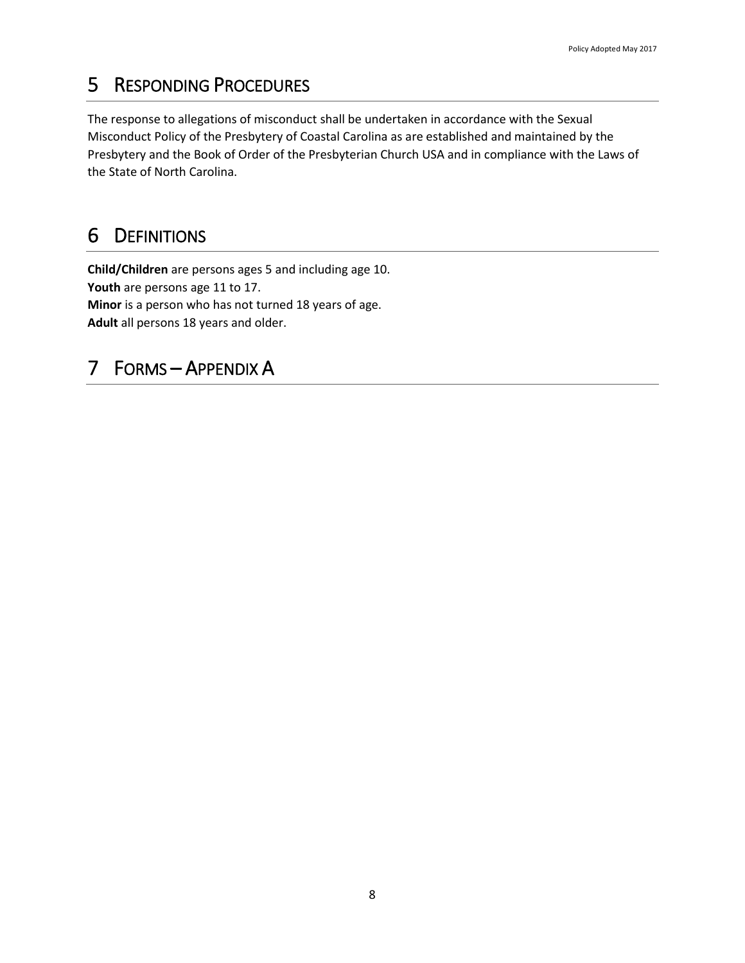# 5 RESPONDING PROCEDURES

The response to allegations of misconduct shall be undertaken in accordance with the Sexual Misconduct Policy of the Presbytery of Coastal Carolina as are established and maintained by the Presbytery and the Book of Order of the Presbyterian Church USA and in compliance with the Laws of the State of North Carolina.

# 6 DEFINITIONS

**Child/Children** are persons ages 5 and including age 10. **Youth** are persons age 11 to 17. **Minor** is a person who has not turned 18 years of age. **Adult** all persons 18 years and older.

# 7 FORMS – APPENDIX A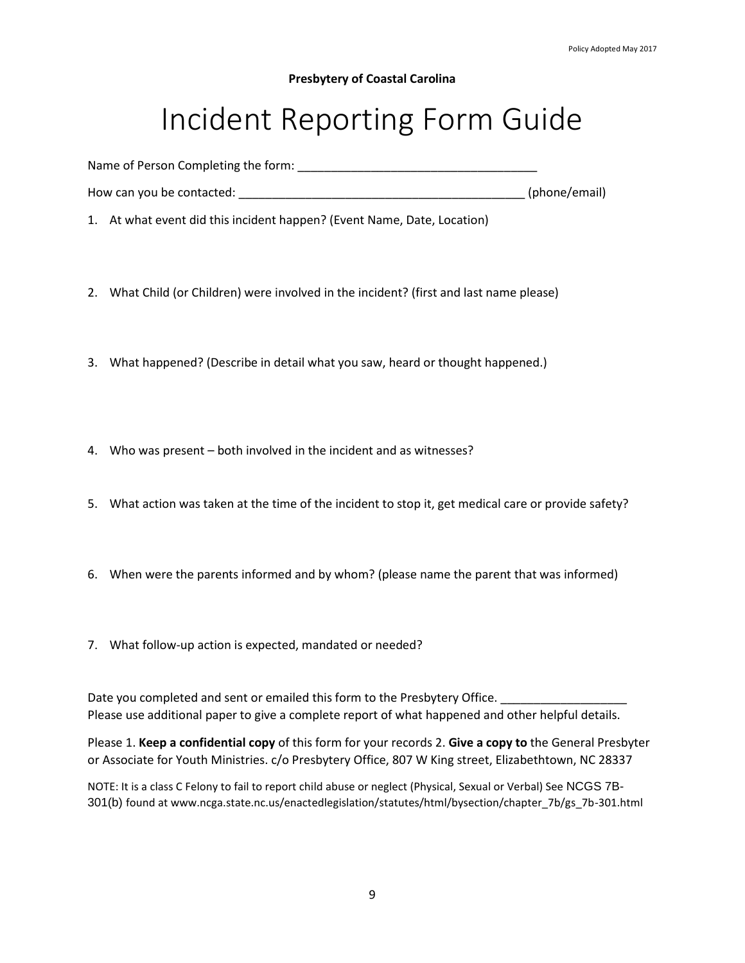#### **Presbytery of Coastal Carolina**

# Incident Reporting Form Guide

Name of Person Completing the form:

How can you be contacted: \_\_\_\_\_\_\_\_\_\_\_\_\_\_\_\_\_\_\_\_\_\_\_\_\_\_\_\_\_\_\_\_\_\_\_\_\_\_\_\_\_\_\_ (phone/email)

1. At what event did this incident happen? (Event Name, Date, Location)

- 2. What Child (or Children) were involved in the incident? (first and last name please)
- 3. What happened? (Describe in detail what you saw, heard or thought happened.)
- 4. Who was present both involved in the incident and as witnesses?
- 5. What action was taken at the time of the incident to stop it, get medical care or provide safety?
- 6. When were the parents informed and by whom? (please name the parent that was informed)
- 7. What follow-up action is expected, mandated or needed?

Date you completed and sent or emailed this form to the Presbytery Office. \_\_\_\_\_\_\_\_\_\_\_\_ Please use additional paper to give a complete report of what happened and other helpful details.

Please 1. **Keep a confidential copy** of this form for your records 2. **Give a copy to** the General Presbyter or Associate for Youth Ministries. c/o Presbytery Office, 807 W King street, Elizabethtown, NC 28337

NOTE: It is a class C Felony to fail to report child abuse or neglect (Physical, Sexual or Verbal) See NCGS 7B-301(b) found at www.ncga.state.nc.us/enactedlegislation/statutes/html/bysection/chapter\_7b/gs\_7b-301.html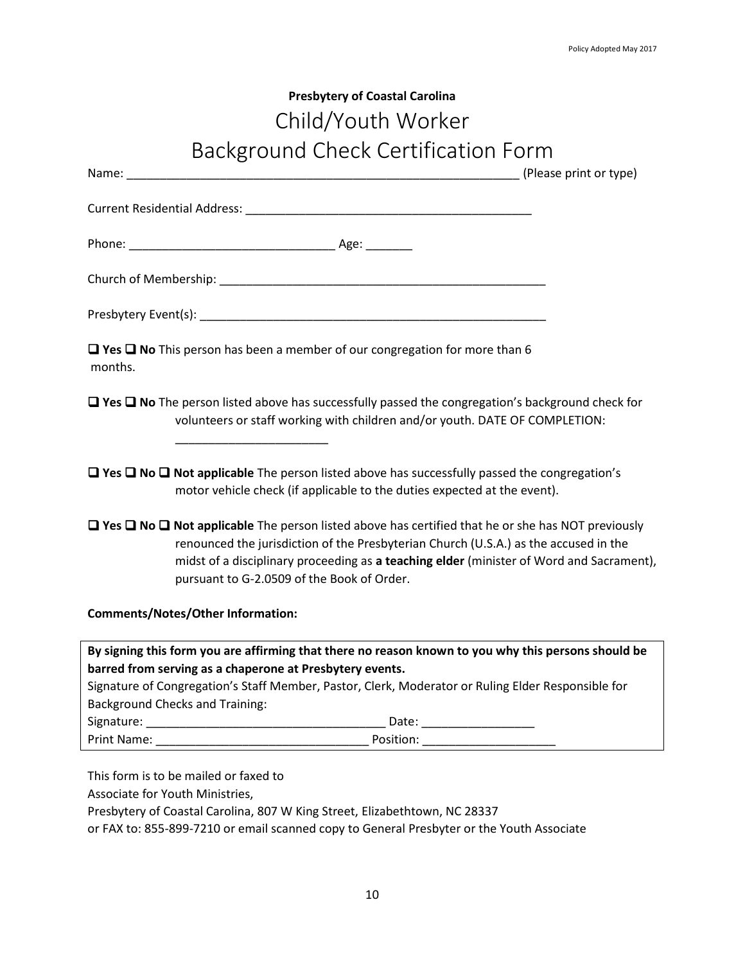# **Presbytery of Coastal Carolina** Child/Youth Worker Background Check Certification Form

| $\Box$ Yes $\Box$ No This person has been a member of our congregation for more than 6<br>months.                                                                                                                                                                                                                                                    |
|------------------------------------------------------------------------------------------------------------------------------------------------------------------------------------------------------------------------------------------------------------------------------------------------------------------------------------------------------|
| $\Box$ Yes $\Box$ No The person listed above has successfully passed the congregation's background check for<br>volunteers or staff working with children and/or youth. DATE OF COMPLETION:                                                                                                                                                          |
| $\Box$ Yes $\Box$ No $\Box$ Not applicable The person listed above has successfully passed the congregation's<br>motor vehicle check (if applicable to the duties expected at the event).                                                                                                                                                            |
| $\Box$ Yes $\Box$ No $\Box$ Not applicable The person listed above has certified that he or she has NOT previously<br>renounced the jurisdiction of the Presbyterian Church (U.S.A.) as the accused in the<br>midst of a disciplinary proceeding as a teaching elder (minister of Word and Sacrament),<br>pursuant to G-2.0509 of the Book of Order. |
| <b>Comments/Notes/Other Information:</b>                                                                                                                                                                                                                                                                                                             |
| By signing this form you are affirming that there no reason known to you why this persons should be                                                                                                                                                                                                                                                  |
| barred from serving as a chaperone at Presbytery events.                                                                                                                                                                                                                                                                                             |
| Signature of Congregation's Staff Member, Pastor, Clerk, Moderator or Ruling Elder Responsible for                                                                                                                                                                                                                                                   |
| <b>Background Checks and Training:</b>                                                                                                                                                                                                                                                                                                               |
|                                                                                                                                                                                                                                                                                                                                                      |
|                                                                                                                                                                                                                                                                                                                                                      |

This form is to be mailed or faxed to

Associate for Youth Ministries,

Presbytery of Coastal Carolina, 807 W King Street, Elizabethtown, NC 28337

or FAX to: 855-899-7210 or email scanned copy to General Presbyter or the Youth Associate